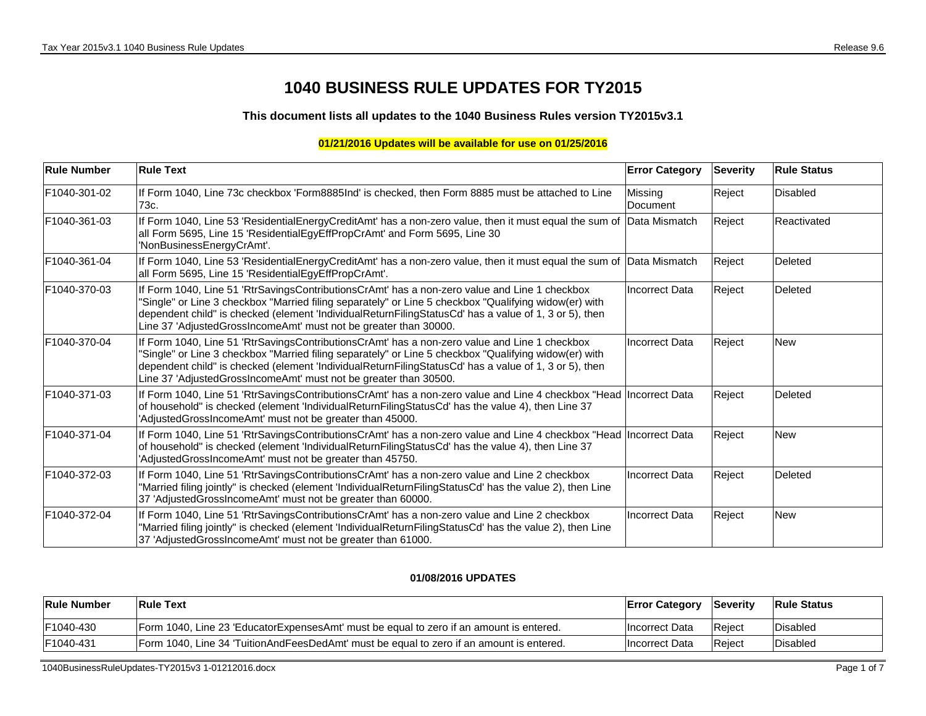## **1040 BUSINESS RULE UPDATES FOR TY2015**

**This document lists all updates to the 1040 Business Rules version TY2015v3.1**

## **01/21/2016 Updates will be available for use on 01/25/2016**

| <b>Rule Number</b> | <b>Rule Text</b>                                                                                                                                                                                                                                                                                                                                                                    | <b>Error Category</b> | <b>Severity</b> | <b>Rule Status</b> |
|--------------------|-------------------------------------------------------------------------------------------------------------------------------------------------------------------------------------------------------------------------------------------------------------------------------------------------------------------------------------------------------------------------------------|-----------------------|-----------------|--------------------|
| F1040-301-02       | If Form 1040, Line 73c checkbox 'Form8885Ind' is checked, then Form 8885 must be attached to Line<br>73c.                                                                                                                                                                                                                                                                           | Missing<br>Document   | Reject          | <b>Disabled</b>    |
| F1040-361-03       | If Form 1040, Line 53 'ResidentialEnergyCreditAmt' has a non-zero value, then it must equal the sum of Data Mismatch<br>all Form 5695, Line 15 'ResidentialEgyEffPropCrAmt' and Form 5695, Line 30<br>'NonBusinessEnergyCrAmt'.                                                                                                                                                     |                       | Reject          | Reactivated        |
| F1040-361-04       | If Form 1040, Line 53 'ResidentialEnergyCreditAmt' has a non-zero value, then it must equal the sum of  Data Mismatch<br>all Form 5695, Line 15 'ResidentialEgyEffPropCrAmt'.                                                                                                                                                                                                       |                       | Reject          | Deleted            |
| F1040-370-03       | If Form 1040, Line 51 'RtrSavingsContributionsCrAmt' has a non-zero value and Line 1 checkbox<br>'Single" or Line 3 checkbox "Married filing separately" or Line 5 checkbox "Qualifying widow(er) with<br>dependent child" is checked (element 'IndividualReturnFilingStatusCd' has a value of 1, 3 or 5), then<br>Line 37 'AdjustedGrossIncomeAmt' must not be greater than 30000. | <b>Incorrect Data</b> | Reject          | Deleted            |
| F1040-370-04       | If Form 1040, Line 51 'RtrSavingsContributionsCrAmt' has a non-zero value and Line 1 checkbox<br>"Single" or Line 3 checkbox "Married filing separately" or Line 5 checkbox "Qualifying widow(er) with<br>dependent child" is checked (element 'IndividualReturnFilingStatusCd' has a value of 1, 3 or 5), then<br>Line 37 'AdjustedGrossIncomeAmt' must not be greater than 30500. | <b>Incorrect Data</b> | Reject          | <b>New</b>         |
| F1040-371-03       | If Form 1040, Line 51 'RtrSavingsContributionsCrAmt' has a non-zero value and Line 4 checkbox "Head  Incorrect Data<br>of household" is checked (element 'IndividualReturnFilingStatusCd' has the value 4), then Line 37<br>'AdjustedGrossIncomeAmt' must not be greater than 45000.                                                                                                |                       | Reject          | Deleted            |
| F1040-371-04       | If Form 1040, Line 51 'RtrSavingsContributionsCrAmt' has a non-zero value and Line 4 checkbox "Head  Incorrect Data<br>of household" is checked (element 'IndividualReturnFilingStatusCd' has the value 4), then Line 37<br>'AdjustedGrossIncomeAmt' must not be greater than 45750.                                                                                                |                       | Reject          | <b>New</b>         |
| F1040-372-03       | If Form 1040, Line 51 'RtrSavingsContributionsCrAmt' has a non-zero value and Line 2 checkbox<br>"Married filing jointly" is checked (element 'IndividualReturnFilingStatusCd' has the value 2), then Line<br>37 'AdjustedGrossIncomeAmt' must not be greater than 60000.                                                                                                           | <b>Incorrect Data</b> | Reject          | Deleted            |
| F1040-372-04       | If Form 1040, Line 51 'RtrSavingsContributionsCrAmt' has a non-zero value and Line 2 checkbox<br>"Married filing jointly" is checked (element 'IndividualReturnFilingStatusCd' has the value 2), then Line<br>37 'AdjustedGrossIncomeAmt' must not be greater than 61000.                                                                                                           | <b>Incorrect Data</b> | Reject          | <b>New</b>         |

## **01/08/2016 UPDATES**

| <b>Rule Number</b> | <b>Rule Text</b>                                                                              | <b>Error Category</b> | <b>Severity</b> | Rule Status |
|--------------------|-----------------------------------------------------------------------------------------------|-----------------------|-----------------|-------------|
| F1040-430          | The Form 1040. Line 23 'Educator Expenses Amt' must be equal to zero if an amount is entered. | Incorrect Data        | Reiect          | Disabled    |
| F1040-431          | [Form 1040, Line 34 'Tuition And Fees Ded Amt' must be equal to zero if an amount is entered. | Incorrect Data        | Reject          | Disabled    |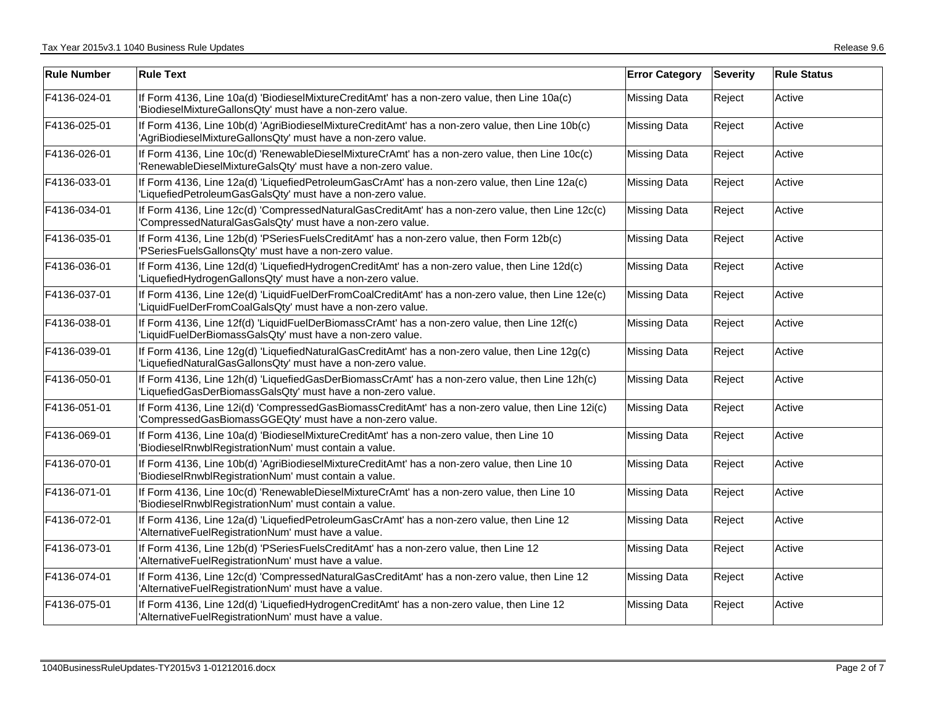| <b>Rule Number</b> | <b>Rule Text</b>                                                                                                                                                 | <b>Error Category</b> | Severity | <b>Rule Status</b> |
|--------------------|------------------------------------------------------------------------------------------------------------------------------------------------------------------|-----------------------|----------|--------------------|
| F4136-024-01       | If Form 4136, Line 10a(d) 'BiodieselMixtureCreditAmt' has a non-zero value, then Line 10a(c)<br>'BiodieselMixtureGallonsQty' must have a non-zero value.         | <b>Missing Data</b>   | Reject   | Active             |
| F4136-025-01       | If Form 4136, Line 10b(d) 'AgriBiodieselMixtureCreditAmt' has a non-zero value, then Line 10b(c)<br>'AgriBiodieselMixtureGallonsQty' must have a non-zero value. | Missing Data          | Reject   | Active             |
| F4136-026-01       | If Form 4136, Line 10c(d) 'RenewableDieselMixtureCrAmt' has a non-zero value, then Line 10c(c)<br>'RenewableDieselMixtureGalsQty' must have a non-zero value.    | <b>Missing Data</b>   | Reject   | Active             |
| F4136-033-01       | If Form 4136, Line 12a(d) 'LiquefiedPetroleumGasCrAmt' has a non-zero value, then Line 12a(c)<br>'LiquefiedPetroleumGasGalsQty' must have a non-zero value.      | <b>Missing Data</b>   | Reject   | Active             |
| F4136-034-01       | If Form 4136, Line 12c(d) 'CompressedNaturalGasCreditAmt' has a non-zero value, then Line 12c(c)<br>'CompressedNaturalGasGalsQty' must have a non-zero value.    | <b>Missing Data</b>   | Reject   | Active             |
| F4136-035-01       | If Form 4136, Line 12b(d) 'PSeriesFuelsCreditAmt' has a non-zero value, then Form 12b(c)<br>'PSeriesFuelsGallonsQty' must have a non-zero value.                 | <b>Missing Data</b>   | Reject   | Active             |
| F4136-036-01       | If Form 4136, Line 12d(d) 'LiquefiedHydrogenCreditAmt' has a non-zero value, then Line 12d(c)<br>'LiquefiedHydrogenGallonsQty' must have a non-zero value.       | <b>Missing Data</b>   | Reject   | Active             |
| F4136-037-01       | If Form 4136, Line 12e(d) 'LiquidFuelDerFromCoalCreditAmt' has a non-zero value, then Line 12e(c)<br>'LiquidFuelDerFromCoalGalsQty' must have a non-zero value.  | <b>Missing Data</b>   | Reject   | Active             |
| F4136-038-01       | If Form 4136, Line 12f(d) 'LiquidFuelDerBiomassCrAmt' has a non-zero value, then Line 12f(c)<br>'LiquidFuelDerBiomassGalsQty' must have a non-zero value.        | <b>Missing Data</b>   | Reject   | Active             |
| F4136-039-01       | If Form 4136, Line 12g(d) 'LiquefiedNaturalGasCreditAmt' has a non-zero value, then Line 12g(c)<br>'LiquefiedNaturalGasGallonsQty' must have a non-zero value.   | <b>Missing Data</b>   | Reject   | Active             |
| F4136-050-01       | If Form 4136, Line 12h(d) 'LiquefiedGasDerBiomassCrAmt' has a non-zero value, then Line 12h(c)<br>'LiquefiedGasDerBiomassGalsQty' must have a non-zero value.    | <b>Missing Data</b>   | Reject   | Active             |
| F4136-051-01       | If Form 4136, Line 12i(d) 'CompressedGasBiomassCreditAmt' has a non-zero value, then Line 12i(c)<br>'CompressedGasBiomassGGEQty' must have a non-zero value.     | <b>Missing Data</b>   | Reject   | Active             |
| F4136-069-01       | If Form 4136, Line 10a(d) 'BiodieselMixtureCreditAmt' has a non-zero value, then Line 10<br>'BiodieselRnwblRegistrationNum' must contain a value.                | <b>Missing Data</b>   | Reject   | Active             |
| F4136-070-01       | If Form 4136, Line 10b(d) 'AgriBiodieselMixtureCreditAmt' has a non-zero value, then Line 10<br>'BiodieselRnwblRegistrationNum' must contain a value.            | <b>Missing Data</b>   | Reject   | Active             |
| F4136-071-01       | If Form 4136, Line 10c(d) 'RenewableDieselMixtureCrAmt' has a non-zero value, then Line 10<br>'BiodieselRnwblRegistrationNum' must contain a value.              | <b>Missing Data</b>   | Reject   | Active             |
| F4136-072-01       | If Form 4136, Line 12a(d) 'LiquefiedPetroleumGasCrAmt' has a non-zero value, then Line 12<br>'AlternativeFuelRegistrationNum' must have a value.                 | <b>Missing Data</b>   | Reject   | Active             |
| F4136-073-01       | If Form 4136, Line 12b(d) 'PSeriesFuelsCreditAmt' has a non-zero value, then Line 12<br>'AlternativeFuelRegistrationNum' must have a value.                      | <b>Missing Data</b>   | Reject   | Active             |
| F4136-074-01       | If Form 4136, Line 12c(d) 'CompressedNaturalGasCreditAmt' has a non-zero value, then Line 12<br>'AlternativeFuelRegistrationNum' must have a value.              | <b>Missing Data</b>   | Reject   | Active             |
| F4136-075-01       | If Form 4136, Line 12d(d) 'LiquefiedHydrogenCreditAmt' has a non-zero value, then Line 12<br>'AlternativeFuelRegistrationNum' must have a value.                 | <b>Missing Data</b>   | Reject   | Active             |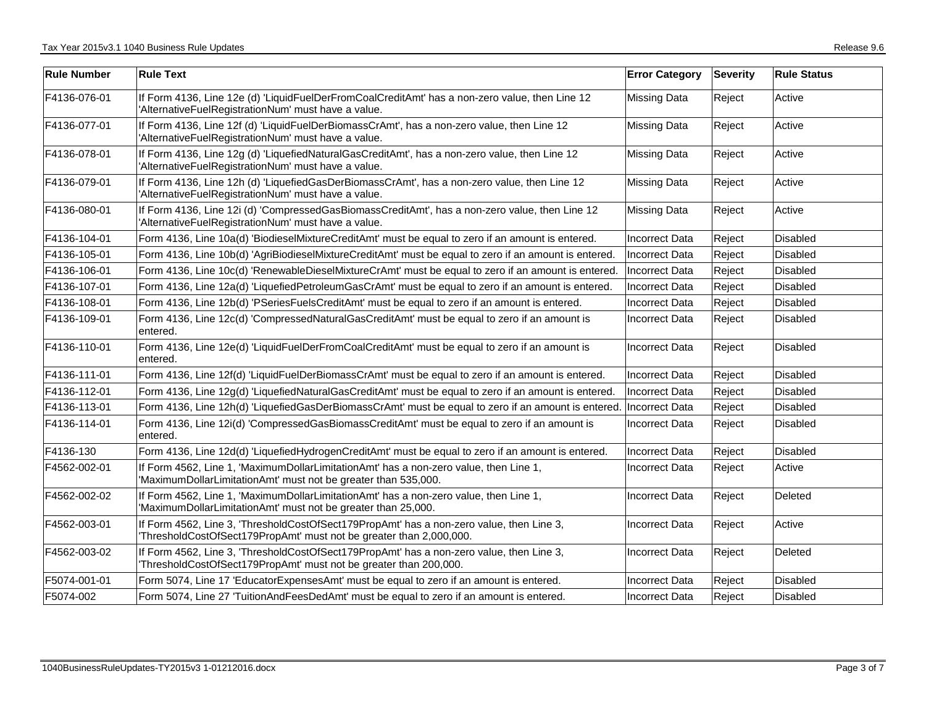| <b>Rule Number</b> | <b>Rule Text</b>                                                                                                                                               | <b>Error Category</b> | <b>Severity</b> | <b>Rule Status</b> |
|--------------------|----------------------------------------------------------------------------------------------------------------------------------------------------------------|-----------------------|-----------------|--------------------|
| F4136-076-01       | If Form 4136, Line 12e (d) 'LiquidFuelDerFromCoalCreditAmt' has a non-zero value, then Line 12<br>'AlternativeFuelRegistrationNum' must have a value.          | <b>Missing Data</b>   | Reject          | Active             |
| F4136-077-01       | If Form 4136, Line 12f (d) 'LiquidFuelDerBiomassCrAmt', has a non-zero value, then Line 12<br>'AlternativeFuelRegistrationNum' must have a value.              | <b>Missing Data</b>   | Reject          | Active             |
| F4136-078-01       | If Form 4136, Line 12g (d) 'LiquefiedNaturalGasCreditAmt', has a non-zero value, then Line 12<br>'AlternativeFuelRegistrationNum' must have a value.           | <b>Missing Data</b>   | Reject          | Active             |
| F4136-079-01       | If Form 4136, Line 12h (d) 'LiquefiedGasDerBiomassCrAmt', has a non-zero value, then Line 12<br>'AlternativeFuelRegistrationNum' must have a value.            | <b>Missing Data</b>   | Reject          | Active             |
| F4136-080-01       | If Form 4136, Line 12i (d) 'CompressedGasBiomassCreditAmt', has a non-zero value, then Line 12<br>'AlternativeFuelRegistrationNum' must have a value.          | <b>Missing Data</b>   | Reject          | Active             |
| F4136-104-01       | Form 4136, Line 10a(d) 'BiodieselMixtureCreditAmt' must be equal to zero if an amount is entered.                                                              | Incorrect Data        | Reject          | <b>Disabled</b>    |
| F4136-105-01       | Form 4136, Line 10b(d) 'AgriBiodieselMixtureCreditAmt' must be equal to zero if an amount is entered.                                                          | <b>Incorrect Data</b> | Reject          | <b>Disabled</b>    |
| F4136-106-01       | Form 4136, Line 10c(d) 'RenewableDieselMixtureCrAmt' must be equal to zero if an amount is entered.                                                            | Incorrect Data        | Reject          | Disabled           |
| F4136-107-01       | Form 4136, Line 12a(d) 'LiquefiedPetroleumGasCrAmt' must be equal to zero if an amount is entered.                                                             | <b>Incorrect Data</b> | Reject          | <b>Disabled</b>    |
| F4136-108-01       | Form 4136, Line 12b(d) 'PSeriesFuelsCreditAmt' must be equal to zero if an amount is entered.                                                                  | <b>Incorrect Data</b> | Reject          | <b>Disabled</b>    |
| F4136-109-01       | Form 4136, Line 12c(d) 'CompressedNaturalGasCreditAmt' must be equal to zero if an amount is<br>entered.                                                       | <b>Incorrect Data</b> | Reject          | Disabled           |
| F4136-110-01       | Form 4136, Line 12e(d) 'LiquidFuelDerFromCoalCreditAmt' must be equal to zero if an amount is<br>entered.                                                      | Incorrect Data        | Reject          | <b>Disabled</b>    |
| F4136-111-01       | Form 4136, Line 12f(d) 'LiquidFuelDerBiomassCrAmt' must be equal to zero if an amount is entered.                                                              | <b>Incorrect Data</b> | Reject          | <b>Disabled</b>    |
| F4136-112-01       | Form 4136, Line 12g(d) 'LiquefiedNaturalGasCreditAmt' must be equal to zero if an amount is entered.                                                           | <b>Incorrect Data</b> | Reject          | <b>Disabled</b>    |
| F4136-113-01       | Form 4136, Line 12h(d) 'LiquefiedGasDerBiomassCrAmt' must be equal to zero if an amount is entered.                                                            | <b>Incorrect Data</b> | Reject          | <b>Disabled</b>    |
| F4136-114-01       | Form 4136, Line 12i(d) 'CompressedGasBiomassCreditAmt' must be equal to zero if an amount is<br>entered.                                                       | Incorrect Data        | Reject          | Disabled           |
| F4136-130          | Form 4136, Line 12d(d) 'LiquefiedHydrogenCreditAmt' must be equal to zero if an amount is entered.                                                             | Incorrect Data        | Reject          | <b>Disabled</b>    |
| F4562-002-01       | If Form 4562, Line 1, 'MaximumDollarLimitationAmt' has a non-zero value, then Line 1,<br>'MaximumDollarLimitationAmt' must not be greater than 535,000.        | Incorrect Data        | Reject          | Active             |
| F4562-002-02       | If Form 4562, Line 1, 'MaximumDollarLimitationAmt' has a non-zero value, then Line 1,<br>'MaximumDollarLimitationAmt' must not be greater than 25,000.         | <b>Incorrect Data</b> | Reject          | Deleted            |
| F4562-003-01       | If Form 4562, Line 3, 'ThresholdCostOfSect179PropAmt' has a non-zero value, then Line 3,<br>ThresholdCostOfSect179PropAmt' must not be greater than 2,000,000. | <b>Incorrect Data</b> | Reject          | Active             |
| F4562-003-02       | If Form 4562, Line 3, 'ThresholdCostOfSect179PropAmt' has a non-zero value, then Line 3,<br>'ThresholdCostOfSect179PropAmt' must not be greater than 200,000.  | <b>Incorrect Data</b> | Reject          | Deleted            |
| F5074-001-01       | Form 5074, Line 17 'EducatorExpensesAmt' must be equal to zero if an amount is entered.                                                                        | <b>Incorrect Data</b> | Reject          | <b>Disabled</b>    |
| F5074-002          | Form 5074, Line 27 'TuitionAndFeesDedAmt' must be equal to zero if an amount is entered.                                                                       | <b>Incorrect Data</b> | Reject          | Disabled           |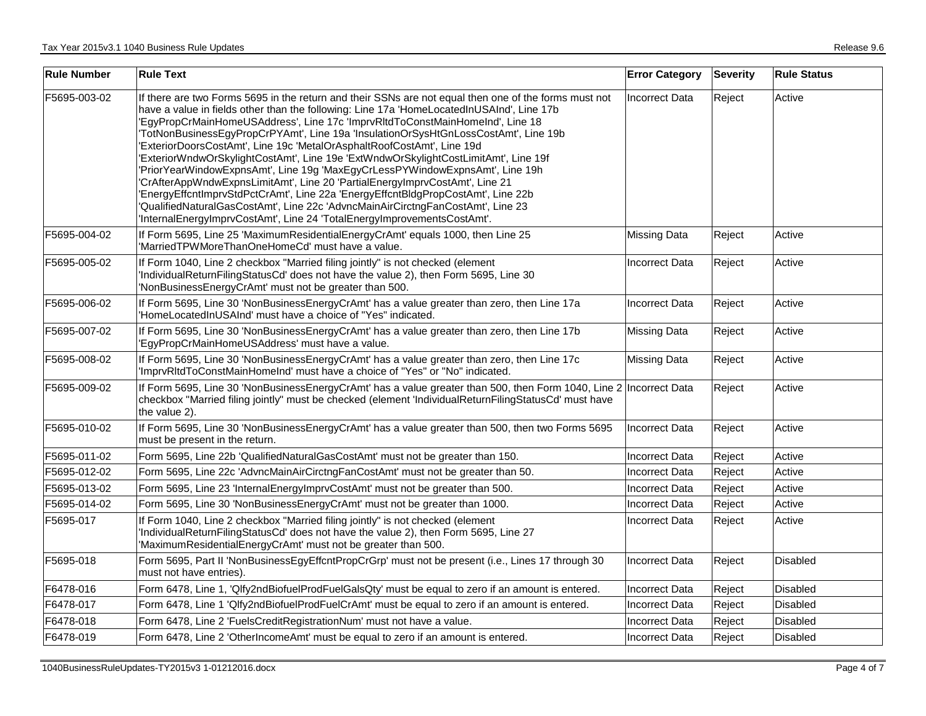| <b>Rule Number</b> | <b>Rule Text</b>                                                                                                                                                                                                                                                                                                                                                                                                                                                                                                                                                                                                                                                                                                                                                                                                                                                                                                                                             | <b>Error Category</b> | <b>Severity</b> | <b>Rule Status</b> |
|--------------------|--------------------------------------------------------------------------------------------------------------------------------------------------------------------------------------------------------------------------------------------------------------------------------------------------------------------------------------------------------------------------------------------------------------------------------------------------------------------------------------------------------------------------------------------------------------------------------------------------------------------------------------------------------------------------------------------------------------------------------------------------------------------------------------------------------------------------------------------------------------------------------------------------------------------------------------------------------------|-----------------------|-----------------|--------------------|
| F5695-003-02       | If there are two Forms 5695 in the return and their SSNs are not equal then one of the forms must not<br>have a value in fields other than the following: Line 17a 'HomeLocatedInUSAInd', Line 17b<br>'EgyPropCrMainHomeUSAddress', Line 17c 'ImprvRItdToConstMainHomeInd', Line 18<br>'TotNonBusinessEgyPropCrPYAmt', Line 19a 'InsulationOrSysHtGnLossCostAmt', Line 19b<br>'ExteriorDoorsCostAmt', Line 19c 'MetalOrAsphaltRoofCostAmt', Line 19d<br>'ExteriorWndwOrSkylightCostAmt', Line 19e 'ExtWndwOrSkylightCostLimitAmt', Line 19f<br>'PriorYearWindowExpnsAmt', Line 19g 'MaxEgyCrLessPYWindowExpnsAmt', Line 19h<br>'CrAfterAppWndwExpnsLimitAmt', Line 20 'PartialEnergyImprvCostAmt', Line 21<br>'EnergyEffcntImprvStdPctCrAmt', Line 22a 'EnergyEffcntBldgPropCostAmt', Line 22b<br>'QualifiedNaturalGasCostAmt', Line 22c 'AdvncMainAirCirctngFanCostAmt', Line 23<br>'InternalEnergyImprvCostAmt', Line 24 'TotalEnergyImprovementsCostAmt'. | Incorrect Data        | Reject          | Active             |
| F5695-004-02       | If Form 5695, Line 25 'MaximumResidentialEnergyCrAmt' equals 1000, then Line 25<br>'MarriedTPWMoreThanOneHomeCd' must have a value.                                                                                                                                                                                                                                                                                                                                                                                                                                                                                                                                                                                                                                                                                                                                                                                                                          | <b>Missing Data</b>   | Reject          | Active             |
| F5695-005-02       | If Form 1040, Line 2 checkbox "Married filing jointly" is not checked (element<br>IndividualReturnFilingStatusCd' does not have the value 2), then Form 5695, Line 30<br>'NonBusinessEnergyCrAmt' must not be greater than 500.                                                                                                                                                                                                                                                                                                                                                                                                                                                                                                                                                                                                                                                                                                                              | <b>Incorrect Data</b> | Reject          | Active             |
| F5695-006-02       | If Form 5695, Line 30 'NonBusinessEnergyCrAmt' has a value greater than zero, then Line 17a<br>'HomeLocatedInUSAInd' must have a choice of "Yes" indicated.                                                                                                                                                                                                                                                                                                                                                                                                                                                                                                                                                                                                                                                                                                                                                                                                  | <b>Incorrect Data</b> | Reject          | Active             |
| F5695-007-02       | If Form 5695, Line 30 'NonBusinessEnergyCrAmt' has a value greater than zero, then Line 17b<br>'EgyPropCrMainHomeUSAddress' must have a value.                                                                                                                                                                                                                                                                                                                                                                                                                                                                                                                                                                                                                                                                                                                                                                                                               | <b>Missing Data</b>   | Reject          | Active             |
| F5695-008-02       | If Form 5695, Line 30 'NonBusinessEnergyCrAmt' has a value greater than zero, then Line 17c<br>'ImprvRItdToConstMainHomeInd' must have a choice of "Yes" or "No" indicated.                                                                                                                                                                                                                                                                                                                                                                                                                                                                                                                                                                                                                                                                                                                                                                                  | <b>Missing Data</b>   | Reject          | Active             |
| F5695-009-02       | If Form 5695, Line 30 'NonBusinessEnergyCrAmt' has a value greater than 500, then Form 1040, Line 2  Incorrect Data<br>checkbox "Married filing jointly" must be checked (element 'IndividualReturnFilingStatusCd' must have<br>the value 2).                                                                                                                                                                                                                                                                                                                                                                                                                                                                                                                                                                                                                                                                                                                |                       | Reject          | Active             |
| F5695-010-02       | If Form 5695, Line 30 'NonBusinessEnergyCrAmt' has a value greater than 500, then two Forms 5695<br>must be present in the return.                                                                                                                                                                                                                                                                                                                                                                                                                                                                                                                                                                                                                                                                                                                                                                                                                           | <b>Incorrect Data</b> | Reject          | Active             |
| F5695-011-02       | Form 5695, Line 22b 'QualifiedNaturalGasCostAmt' must not be greater than 150.                                                                                                                                                                                                                                                                                                                                                                                                                                                                                                                                                                                                                                                                                                                                                                                                                                                                               | <b>Incorrect Data</b> | Reject          | Active             |
| F5695-012-02       | Form 5695, Line 22c 'AdvncMainAirCirctngFanCostAmt' must not be greater than 50.                                                                                                                                                                                                                                                                                                                                                                                                                                                                                                                                                                                                                                                                                                                                                                                                                                                                             | <b>Incorrect Data</b> | Reject          | Active             |
| F5695-013-02       | Form 5695, Line 23 'InternalEnergyImprvCostAmt' must not be greater than 500.                                                                                                                                                                                                                                                                                                                                                                                                                                                                                                                                                                                                                                                                                                                                                                                                                                                                                | <b>Incorrect Data</b> | Reject          | Active             |
| F5695-014-02       | Form 5695, Line 30 'NonBusinessEnergyCrAmt' must not be greater than 1000.                                                                                                                                                                                                                                                                                                                                                                                                                                                                                                                                                                                                                                                                                                                                                                                                                                                                                   | Incorrect Data        | Reject          | Active             |
| F5695-017          | If Form 1040, Line 2 checkbox "Married filing jointly" is not checked (element<br>IndividualReturnFilingStatusCd' does not have the value 2), then Form 5695, Line 27<br>'MaximumResidentialEnergyCrAmt' must not be greater than 500.                                                                                                                                                                                                                                                                                                                                                                                                                                                                                                                                                                                                                                                                                                                       | <b>Incorrect Data</b> | Reject          | Active             |
| F5695-018          | Form 5695, Part II 'NonBusinessEgyEffcntPropCrGrp' must not be present (i.e., Lines 17 through 30<br>must not have entries).                                                                                                                                                                                                                                                                                                                                                                                                                                                                                                                                                                                                                                                                                                                                                                                                                                 | Incorrect Data        | Reject          | Disabled           |
| F6478-016          | Form 6478, Line 1, 'Qlfy2ndBiofuelProdFuelGalsQty' must be equal to zero if an amount is entered.                                                                                                                                                                                                                                                                                                                                                                                                                                                                                                                                                                                                                                                                                                                                                                                                                                                            | <b>Incorrect Data</b> | Reject          | <b>Disabled</b>    |
| F6478-017          | Form 6478, Line 1 'Qlfy2ndBiofuelProdFuelCrAmt' must be equal to zero if an amount is entered.                                                                                                                                                                                                                                                                                                                                                                                                                                                                                                                                                                                                                                                                                                                                                                                                                                                               | Incorrect Data        | Reject          | Disabled           |
| F6478-018          | Form 6478, Line 2 'FuelsCreditRegistrationNum' must not have a value.                                                                                                                                                                                                                                                                                                                                                                                                                                                                                                                                                                                                                                                                                                                                                                                                                                                                                        | Incorrect Data        | Reject          | <b>Disabled</b>    |
| F6478-019          | Form 6478, Line 2 'OtherIncomeAmt' must be equal to zero if an amount is entered.                                                                                                                                                                                                                                                                                                                                                                                                                                                                                                                                                                                                                                                                                                                                                                                                                                                                            | <b>Incorrect Data</b> | Reject          | Disabled           |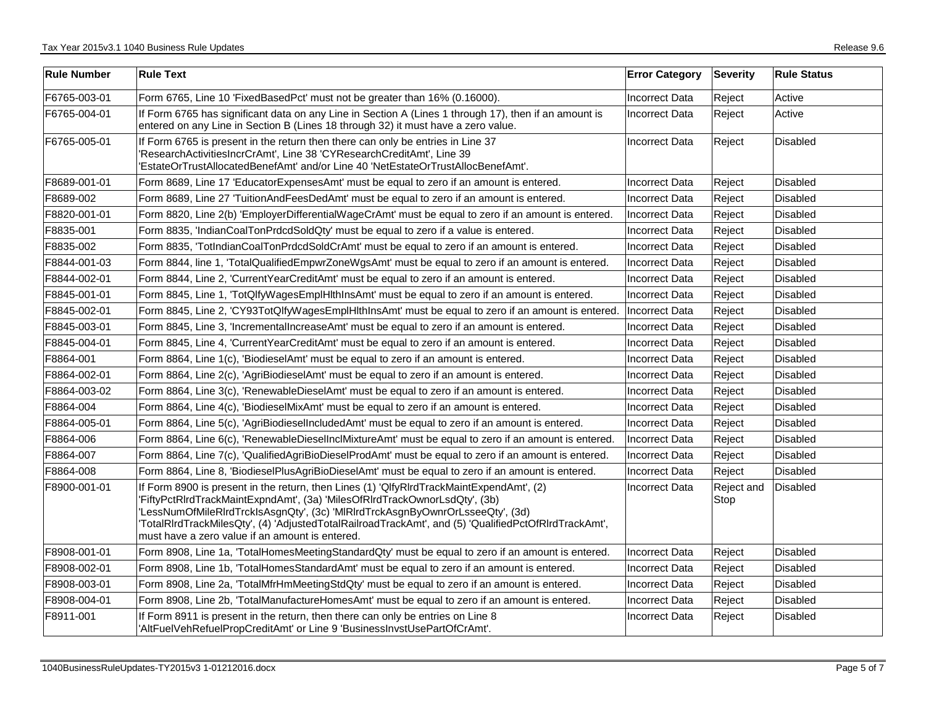| <b>Rule Number</b> | <b>Rule Text</b>                                                                                                                                                                                                                                                                                                                                                                                                   | <b>Error Category</b> | <b>Severity</b>    | <b>Rule Status</b> |
|--------------------|--------------------------------------------------------------------------------------------------------------------------------------------------------------------------------------------------------------------------------------------------------------------------------------------------------------------------------------------------------------------------------------------------------------------|-----------------------|--------------------|--------------------|
| F6765-003-01       | Form 6765, Line 10 'FixedBasedPct' must not be greater than 16% (0.16000).                                                                                                                                                                                                                                                                                                                                         | Incorrect Data        | Reject             | Active             |
| F6765-004-01       | If Form 6765 has significant data on any Line in Section A (Lines 1 through 17), then if an amount is<br>entered on any Line in Section B (Lines 18 through 32) it must have a zero value.                                                                                                                                                                                                                         | Incorrect Data        | Reject             | Active             |
| F6765-005-01       | If Form 6765 is present in the return then there can only be entries in Line 37<br>'ResearchActivitiesIncrCrAmt', Line 38 'CYResearchCreditAmt', Line 39<br>'EstateOrTrustAllocatedBenefAmt' and/or Line 40 'NetEstateOrTrustAllocBenefAmt'.                                                                                                                                                                       | <b>Incorrect Data</b> | Reject             | <b>Disabled</b>    |
| F8689-001-01       | Form 8689, Line 17 'EducatorExpensesAmt' must be equal to zero if an amount is entered.                                                                                                                                                                                                                                                                                                                            | Incorrect Data        | Reject             | <b>Disabled</b>    |
| F8689-002          | Form 8689, Line 27 'TuitionAndFeesDedAmt' must be equal to zero if an amount is entered.                                                                                                                                                                                                                                                                                                                           | <b>Incorrect Data</b> | Reject             | <b>Disabled</b>    |
| F8820-001-01       | Form 8820, Line 2(b) 'EmployerDifferentialWageCrAmt' must be equal to zero if an amount is entered.                                                                                                                                                                                                                                                                                                                | IIncorrect Data       | Reject             | <b>Disabled</b>    |
| F8835-001          | Form 8835, 'IndianCoalTonPrdcdSoldQty' must be equal to zero if a value is entered.                                                                                                                                                                                                                                                                                                                                | <b>Incorrect Data</b> | Reject             | <b>Disabled</b>    |
| F8835-002          | Form 8835, 'TotIndianCoalTonPrdcdSoldCrAmt' must be equal to zero if an amount is entered.                                                                                                                                                                                                                                                                                                                         | <b>Incorrect Data</b> | Reject             | <b>Disabled</b>    |
| F8844-001-03       | Form 8844, line 1, 'TotalQualifiedEmpwrZoneWgsAmt' must be equal to zero if an amount is entered.                                                                                                                                                                                                                                                                                                                  | <b>Incorrect Data</b> | Reject             | <b>Disabled</b>    |
| F8844-002-01       | Form 8844, Line 2, 'Current Year Credit Amt' must be equal to zero if an amount is entered.                                                                                                                                                                                                                                                                                                                        | <b>Incorrect Data</b> | Reject             | <b>Disabled</b>    |
| F8845-001-01       | Form 8845, Line 1, 'TotQlfyWagesEmplHlthInsAmt' must be equal to zero if an amount is entered.                                                                                                                                                                                                                                                                                                                     | Incorrect Data        | Reject             | <b>Disabled</b>    |
| F8845-002-01       | Form 8845, Line 2, 'CY93TotQlfyWagesEmplHlthInsAmt' must be equal to zero if an amount is entered.                                                                                                                                                                                                                                                                                                                 | Incorrect Data        | Reject             | Disabled           |
| F8845-003-01       | Form 8845, Line 3, 'IncrementalIncreaseAmt' must be equal to zero if an amount is entered.                                                                                                                                                                                                                                                                                                                         | <b>Incorrect Data</b> | Reject             | <b>Disabled</b>    |
| F8845-004-01       | Form 8845, Line 4, 'CurrentYearCreditAmt' must be equal to zero if an amount is entered.                                                                                                                                                                                                                                                                                                                           | <b>Incorrect Data</b> | Reject             | <b>Disabled</b>    |
| F8864-001          | Form 8864, Line 1(c), 'BiodieselAmt' must be equal to zero if an amount is entered.                                                                                                                                                                                                                                                                                                                                | <b>Incorrect Data</b> | Reject             | <b>Disabled</b>    |
| F8864-002-01       | Form 8864, Line 2(c), 'AgriBiodieselAmt' must be equal to zero if an amount is entered.                                                                                                                                                                                                                                                                                                                            | <b>Incorrect Data</b> | Reject             | <b>Disabled</b>    |
| F8864-003-02       | Form 8864, Line 3(c), 'RenewableDieselAmt' must be equal to zero if an amount is entered.                                                                                                                                                                                                                                                                                                                          | <b>Incorrect Data</b> | Reject             | <b>Disabled</b>    |
| F8864-004          | Form 8864, Line 4(c), 'BiodieselMixAmt' must be equal to zero if an amount is entered.                                                                                                                                                                                                                                                                                                                             | <b>Incorrect Data</b> | Reject             | <b>Disabled</b>    |
| F8864-005-01       | Form 8864, Line 5(c), 'AgriBiodieselIncludedAmt' must be equal to zero if an amount is entered.                                                                                                                                                                                                                                                                                                                    | <b>Incorrect Data</b> | Reject             | <b>Disabled</b>    |
| F8864-006          | Form 8864, Line 6(c), 'RenewableDieselInclMixtureAmt' must be equal to zero if an amount is entered.                                                                                                                                                                                                                                                                                                               | <b>Incorrect Data</b> | Reject             | <b>Disabled</b>    |
| F8864-007          | Form 8864, Line 7(c), 'QualifiedAgriBioDieselProdAmt' must be equal to zero if an amount is entered.                                                                                                                                                                                                                                                                                                               | <b>Incorrect Data</b> | Reject             | Disabled           |
| F8864-008          | Form 8864, Line 8, 'BiodieselPlusAgriBioDieselAmt' must be equal to zero if an amount is entered.                                                                                                                                                                                                                                                                                                                  | Incorrect Data        | Reject             | <b>Disabled</b>    |
| F8900-001-01       | If Form 8900 is present in the return, then Lines (1) 'QlfyRIrdTrackMaintExpendAmt', (2)<br>'FiftyPctRIrdTrackMaintExpndAmt', (3a) 'MilesOfRIrdTrackOwnorLsdQty', (3b)<br>'LessNumOfMileRIrdTrckIsAsgnQty', (3c) 'MIRIrdTrckAsgnByOwnrOrLsseeQty', (3d)<br>/TotalRIrdTrackMilesQty', (4) 'AdjustedTotalRailroadTrackAmt', and (5) 'QualifiedPctOfRIrdTrackAmt',<br>must have a zero value if an amount is entered. | <b>Incorrect Data</b> | Reject and<br>Stop | <b>Disabled</b>    |
| F8908-001-01       | Form 8908, Line 1a, 'TotalHomesMeetingStandardQty' must be equal to zero if an amount is entered.                                                                                                                                                                                                                                                                                                                  | <b>Incorrect Data</b> | Reject             | <b>Disabled</b>    |
| F8908-002-01       | Form 8908, Line 1b, 'TotalHomesStandardAmt' must be equal to zero if an amount is entered.                                                                                                                                                                                                                                                                                                                         | <b>Incorrect Data</b> | Reject             | Disabled           |
| F8908-003-01       | Form 8908, Line 2a, 'TotalMfrHmMeetingStdQty' must be equal to zero if an amount is entered.                                                                                                                                                                                                                                                                                                                       | Incorrect Data        | Reject             | <b>Disabled</b>    |
| F8908-004-01       | Form 8908, Line 2b, 'TotalManufactureHomesAmt' must be equal to zero if an amount is entered.                                                                                                                                                                                                                                                                                                                      | <b>Incorrect Data</b> | Reject             | <b>Disabled</b>    |
| F8911-001          | If Form 8911 is present in the return, then there can only be entries on Line 8<br>'AltFuelVehRefuelPropCreditAmt' or Line 9 'BusinessInvstUsePartOfCrAmt'.                                                                                                                                                                                                                                                        | <b>Incorrect Data</b> | Reject             | Disabled           |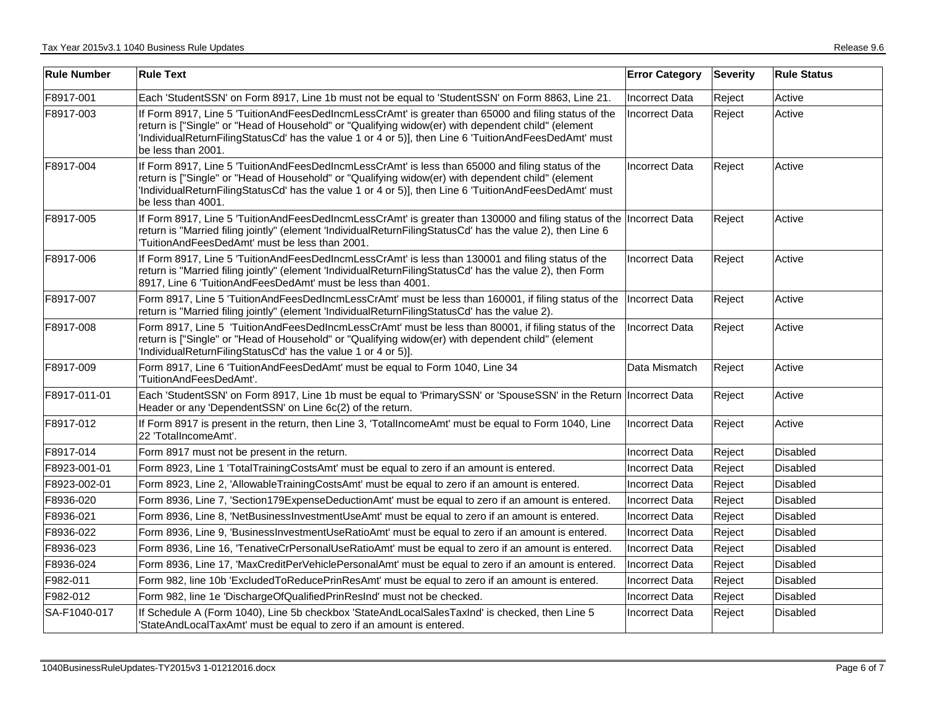| <b>Rule Number</b> | <b>Rule Text</b>                                                                                                                                                                                                                                                                                                                         | <b>Error Category</b> | <b>Severity</b> | <b>Rule Status</b> |
|--------------------|------------------------------------------------------------------------------------------------------------------------------------------------------------------------------------------------------------------------------------------------------------------------------------------------------------------------------------------|-----------------------|-----------------|--------------------|
| F8917-001          | Each 'StudentSSN' on Form 8917, Line 1b must not be equal to 'StudentSSN' on Form 8863, Line 21.                                                                                                                                                                                                                                         | <b>Incorrect Data</b> | Reject          | Active             |
| F8917-003          | If Form 8917, Line 5 'TuitionAndFeesDedIncmLessCrAmt' is greater than 65000 and filing status of the<br>return is ["Single" or "Head of Household" or "Qualifying widow(er) with dependent child" (element<br>IndividualReturnFilingStatusCd' has the value 1 or 4 or 5)], then Line 6 'TuitionAndFeesDedAmt' must<br>be less than 2001. | <b>Incorrect Data</b> | Reject          | Active             |
| F8917-004          | If Form 8917, Line 5 'TuitionAndFeesDedIncmLessCrAmt' is less than 65000 and filing status of the<br>return is ["Single" or "Head of Household" or "Qualifying widow(er) with dependent child" (element<br>IndividualReturnFilingStatusCd' has the value 1 or 4 or 5)], then Line 6 'TuitionAndFeesDedAmt' must<br>be less than 4001.    | <b>Incorrect Data</b> | Reject          | Active             |
| F8917-005          | If Form 8917, Line 5 'TuitionAndFeesDedIncmLessCrAmt' is greater than 130000 and filing status of the Incorrect Data<br>return is "Married filing jointly" (element 'IndividualReturnFilingStatusCd' has the value 2), then Line 6<br>TuitionAndFeesDedAmt' must be less than 2001.                                                      |                       | Reject          | Active             |
| F8917-006          | If Form 8917, Line 5 'TuitionAndFeesDedIncmLessCrAmt' is less than 130001 and filing status of the<br>return is "Married filing jointly" (element 'IndividualReturnFilingStatusCd' has the value 2), then Form<br>8917, Line 6 'TuitionAndFeesDedAmt' must be less than 4001.                                                            | <b>Incorrect Data</b> | Reject          | Active             |
| F8917-007          | Form 8917, Line 5 'TuitionAndFeesDedIncmLessCrAmt' must be less than 160001, if filing status of the<br>return is "Married filing jointly" (element 'IndividualReturnFilingStatusCd' has the value 2).                                                                                                                                   | <b>Incorrect Data</b> | Reject          | Active             |
| F8917-008          | Form 8917, Line 5 'TuitionAndFeesDedIncmLessCrAmt' must be less than 80001, if filing status of the<br>return is ["Single" or "Head of Household" or "Qualifying widow(er) with dependent child" (element<br>'IndividualReturnFilingStatusCd' has the value 1 or 4 or 5)].                                                               | <b>Incorrect Data</b> | Reject          | Active             |
| F8917-009          | Form 8917, Line 6 'TuitionAndFeesDedAmt' must be equal to Form 1040, Line 34<br>'TuitionAndFeesDedAmt'.                                                                                                                                                                                                                                  | Data Mismatch         | Reject          | Active             |
| F8917-011-01       | Each 'StudentSSN' on Form 8917, Line 1b must be equal to 'PrimarySSN' or 'SpouseSSN' in the Return  Incorrect Data<br>Header or any 'DependentSSN' on Line 6c(2) of the return.                                                                                                                                                          |                       | Reject          | Active             |
| F8917-012          | If Form 8917 is present in the return, then Line 3, 'TotalIncomeAmt' must be equal to Form 1040, Line<br>22 'TotalIncomeAmt'.                                                                                                                                                                                                            | <b>Incorrect Data</b> | Reject          | Active             |
| F8917-014          | Form 8917 must not be present in the return.                                                                                                                                                                                                                                                                                             | <b>Incorrect Data</b> | Reject          | <b>Disabled</b>    |
| F8923-001-01       | Form 8923, Line 1 'TotalTrainingCostsAmt' must be equal to zero if an amount is entered.                                                                                                                                                                                                                                                 | <b>Incorrect Data</b> | Reject          | Disabled           |
| F8923-002-01       | Form 8923, Line 2, 'AllowableTrainingCostsAmt' must be equal to zero if an amount is entered.                                                                                                                                                                                                                                            | <b>Incorrect Data</b> | Reject          | Disabled           |
| F8936-020          | Form 8936, Line 7, 'Section179ExpenseDeductionAmt' must be equal to zero if an amount is entered.                                                                                                                                                                                                                                        | <b>Incorrect Data</b> | Reject          | <b>Disabled</b>    |
| F8936-021          | Form 8936, Line 8, 'NetBusinessInvestmentUseAmt' must be equal to zero if an amount is entered.                                                                                                                                                                                                                                          | Incorrect Data        | Reject          | <b>Disabled</b>    |
| F8936-022          | Form 8936, Line 9, 'BusinessInvestmentUseRatioAmt' must be equal to zero if an amount is entered.                                                                                                                                                                                                                                        | <b>Incorrect Data</b> | Reject          | <b>Disabled</b>    |
| F8936-023          | Form 8936, Line 16, 'TenativeCrPersonalUseRatioAmt' must be equal to zero if an amount is entered.                                                                                                                                                                                                                                       | <b>Incorrect Data</b> | Reject          | Disabled           |
| F8936-024          | Form 8936, Line 17, 'MaxCreditPerVehiclePersonalAmt' must be equal to zero if an amount is entered.                                                                                                                                                                                                                                      | <b>Incorrect Data</b> | Reject          | <b>Disabled</b>    |
| F982-011           | Form 982, line 10b 'ExcludedToReducePrinResAmt' must be equal to zero if an amount is entered.                                                                                                                                                                                                                                           | Incorrect Data        | Reject          | Disabled           |
| F982-012           | Form 982, line 1e 'DischargeOfQualifiedPrinResInd' must not be checked.                                                                                                                                                                                                                                                                  | <b>Incorrect Data</b> | Reject          | Disabled           |
| SA-F1040-017       | If Schedule A (Form 1040), Line 5b checkbox 'StateAndLocalSalesTaxInd' is checked, then Line 5<br>'StateAndLocalTaxAmt' must be equal to zero if an amount is entered.                                                                                                                                                                   | Incorrect Data        | Reject          | <b>Disabled</b>    |